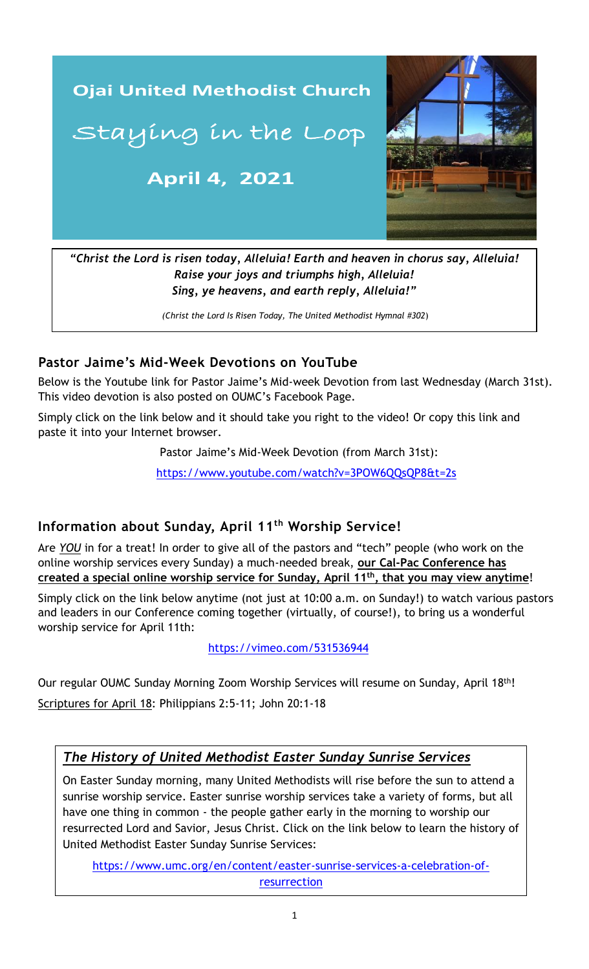

*Raise your joys and triumphs high, Alleluia! Sing, ye heavens, and earth reply, Alleluia!"*

*(Christ the Lord Is Risen Today, The United Methodist Hymnal #302*)

## **Pastor Jaime's Mid-Week Devotions on YouTube**

Below is the Youtube link for Pastor Jaime's Mid-week Devotion from last Wednesday (March 31st). This video devotion is also posted on OUMC's Facebook Page.

Simply click on the link below and it should take you right to the video! Or copy this link and paste it into your Internet browser.

Pastor Jaime's Mid-Week Devotion (from March 31st):

 [https://www.youtube.com/watch?v=3POW6QQsQP8&t=2s](https://www.youtube.com/watch?v=9a1adEVMI4U&t=6s)

#### https://youtube.com/watch?v=Dy8veU\_5FM<br>v=Dy8veU\_5FM v=Dy8veU\_5FM v=Dy8veU\_5FM v=Dy8veU\_5FM v=Dy8veU\_5FM v=Dy8veU\_5FM v=D **Information about Sunday, April 11th Worship Service!**

Are *YOU* in for a treat! In order to give all of the pastors and "tech" people (who work on the online worship services every Sunday) a much-needed break, **our Cal-Pac Conference has created a special online worship service for Sunday, April 11th, that you may view anytime**!

Simply click on the link below anytime (not just at 10:00 a.m. on Sunday!) to watch various pastors and leaders in our Conference coming together (virtually, of course!), to bring us a wonderful worship service for April 11th:

#### <https://vimeo.com/531536944>

Our regular OUMC Sunday Morning Zoom Worship Services will resume on Sunday, April 18th! Scriptures for April 18: Philippians 2:5-11; John 20:1-18

## *The History of United Methodist Easter Sunday Sunrise Services*

On Easter Sunday morning, many United Methodists will rise before the sun to attend a sunrise worship service. Easter sunrise worship services take a variety of forms, but all have one thing in common - the people gather early in the morning to worship our resurrected Lord and Savior, Jesus Christ. Click on the link below to learn the history of United Methodist Easter Sunday Sunrise Services:

[https://www.umc.org/en/content/easter-sunrise-services-a-celebration-of](https://www.umc.org/en/content/easter-sunrise-services-a-celebration-of-%20resurrection)[resurrection](https://www.umc.org/en/content/easter-sunrise-services-a-celebration-of-%20resurrection)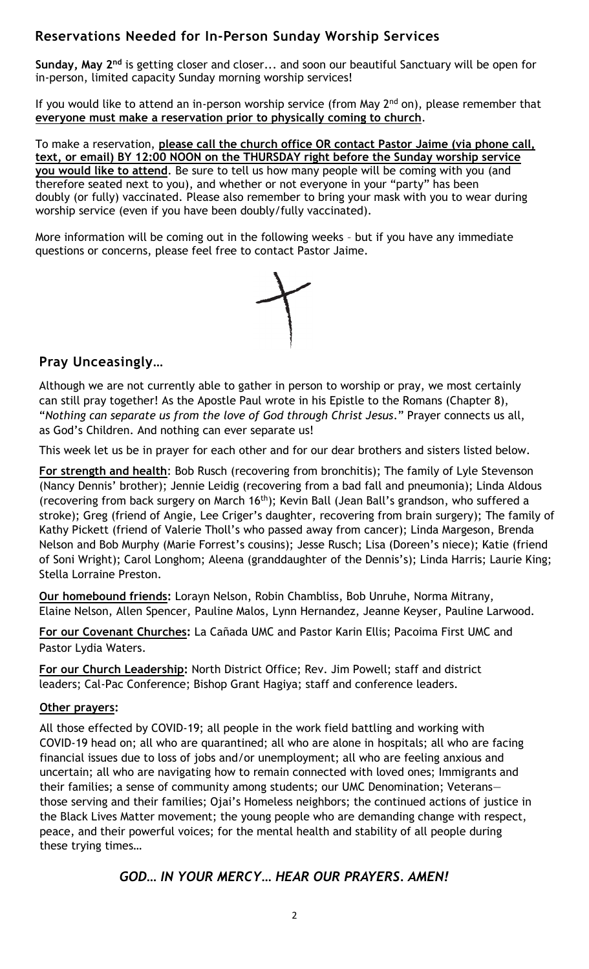## **Reservations Needed for In-Person Sunday Worship Services**

**Sunday, May 2nd** is getting closer and closer... and soon our beautiful Sanctuary will be open for in-person, limited capacity Sunday morning worship services!

If you would like to attend an in-person worship service (from May  $2<sup>nd</sup>$  on), please remember that **everyone must make a reservation prior to physically coming to church**.

To make a reservation, **please call the church office OR contact Pastor Jaime (via phone call, text, or email) BY 12:00 NOON on the THURSDAY right before the Sunday worship service you would like to attend**. Be sure to tell us how many people will be coming with you (and therefore seated next to you), and whether or not everyone in your "party" has been doubly (or fully) vaccinated. Please also remember to bring your mask with you to wear during worship service (even if you have been doubly/fully vaccinated).

More information will be coming out in the following weeks – but if you have any immediate questions or concerns, please feel free to contact Pastor Jaime.



## **Pray Unceasingly…**

Although we are not currently able to gather in person to worship or pray, we most certainly can still pray together! As the Apostle Paul wrote in his Epistle to the Romans (Chapter 8), "*Nothing can separate us from the love of God through Christ Jesus*." Prayer connects us all, as God's Children. And nothing can ever separate us!

This week let us be in prayer for each other and for our dear brothers and sisters listed below.

**For strength and health**: Bob Rusch (recovering from bronchitis); The family of Lyle Stevenson (Nancy Dennis' brother); Jennie Leidig (recovering from a bad fall and pneumonia); Linda Aldous (recovering from back surgery on March 16<sup>th</sup>); Kevin Ball (Jean Ball's grandson, who suffered a stroke); Greg (friend of Angie, Lee Criger's daughter, recovering from brain surgery); The family of Kathy Pickett (friend of Valerie Tholl's who passed away from cancer); Linda Margeson, Brenda Nelson and Bob Murphy (Marie Forrest's cousins); Jesse Rusch; Lisa (Doreen's niece); Katie (friend of Soni Wright); Carol Longhom; Aleena (granddaughter of the Dennis's); Linda Harris; Laurie King; Stella Lorraine Preston.

**Our homebound friends:** Lorayn Nelson, Robin Chambliss, Bob Unruhe, Norma Mitrany, Elaine Nelson, Allen Spencer, Pauline Malos, Lynn Hernandez, Jeanne Keyser, Pauline Larwood.

**For our Covenant Churches:** La Cañada UMC and Pastor Karin Ellis; Pacoima First UMC and Pastor Lydia Waters.

**For our Church Leadership:** North District Office; Rev. Jim Powell; staff and district leaders; Cal-Pac Conference; Bishop Grant Hagiya; staff and conference leaders.

#### **Other prayers:**

\_\_\_\_\_\_\_\_\_\_\_\_\_\_\_\_\_\_\_\_\_\_\_\_\_\_\_\_\_\_\_\_\_\_\_\_\_\_\_\_\_\_\_\_\_\_\_\_\_\_\_\_\_\_\_\_\_\_\_\_\_\_ uncertain; all who are navigating how to remain connected with loved ones; Immigrants and All those effected by COVID-19; all people in the work field battling and working with COVID-19 head on; all who are quarantined; all who are alone in hospitals; all who are facing financial issues due to loss of jobs and/or unemployment; all who are feeling anxious and their families; a sense of community among students; our UMC Denomination; Veterans those serving and their families; Ojai's Homeless neighbors; the continued actions of justice in the Black Lives Matter movement; the young people who are demanding change with respect, peace, and their powerful voices; for the mental health and stability of all people during these trying times…

## *GOD… IN YOUR MERCY… HEAR OUR PRAYERS. AMEN!*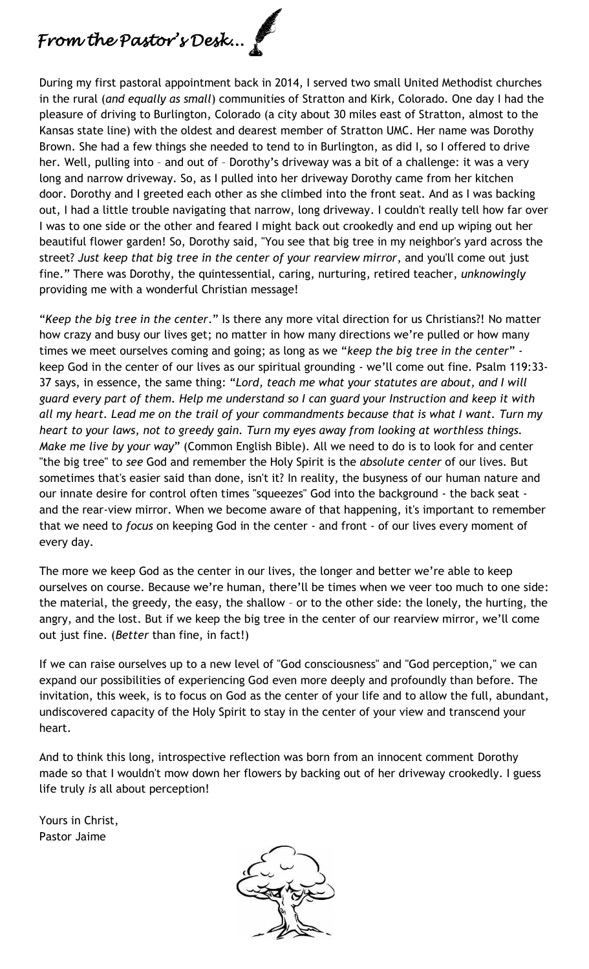# *From the Pastor's Desk...*

During my first pastoral appointment back in 2014, I served two small United Methodist churches in the rural (*and equally as small*) communities of Stratton and Kirk, Colorado. One day I had the pleasure of driving to Burlington, Colorado (a city about 30 miles east of Stratton, almost to the Kansas state line) with the oldest and dearest member of Stratton UMC. Her name was Dorothy Brown. She had a few things she needed to tend to in Burlington, as did I, so I offered to drive her. Well, pulling into – and out of – Dorothy's driveway was a bit of a challenge: it was a very long and narrow driveway. So, as I pulled into her driveway Dorothy came from her kitchen door. Dorothy and I greeted each other as she climbed into the front seat. And as I was backing out, I had a little trouble navigating that narrow, long driveway. I couldn't really tell how far over I was to one side or the other and feared I might back out crookedly and end up wiping out her beautiful flower garden! So, Dorothy said, "You see that big tree in my neighbor's yard across the street? *Just keep that big tree in the center of your rearview mirror*, and you'll come out just fine." There was Dorothy, the quintessential, caring, nurturing, retired teacher, *unknowingly* providing me with a wonderful Christian message!

"*Keep the big tree in the center*." Is there any more vital direction for us Christians?! No matter how crazy and busy our lives get; no matter in how many directions we're pulled or how many times we meet ourselves coming and going; as long as we "*keep the big tree in the center*" keep God in the center of our lives as our spiritual grounding - we'll come out fine. Psalm 119:33- 37 says, in essence, the same thing: "*Lord, teach me what your statutes are about, and I will guard every part of them. Help me understand so I can guard your Instruction and keep it with all my heart. Lead me on the trail of your commandments because that is what I want. Turn my heart to your laws, not to greedy gain. Turn my eyes away from looking at worthless things. Make me live by your way*" (Common English Bible). All we need to do is to look for and center "the big tree" to *see* God and remember the Holy Spirit is the *absolute center* of our lives. But sometimes that's easier said than done, isn't it? In reality, the busyness of our human nature and our innate desire for control often times "squeezes" God into the background - the back seat and the rear-view mirror. When we become aware of that happening, it's important to remember that we need to *focus* on keeping God in the center - and front - of our lives every moment of every day.

The more we keep God as the center in our lives, the longer and better we're able to keep ourselves on course. Because we're human, there'll be times when we veer too much to one side: the material, the greedy, the easy, the shallow – or to the other side: the lonely, the hurting, the angry, and the lost. But if we keep the big tree in the center of our rearview mirror, we'll come out just fine. (*Better* than fine, in fact!)

If we can raise ourselves up to a new level of "God consciousness" and "God perception," we can expand our possibilities of experiencing God even more deeply and profoundly than before. The invitation, this week, is to focus on God as the center of your life and to allow the full, abundant, undiscovered capacity of the Holy Spirit to stay in the center of your view and transcend your heart.

And to think this long, introspective reflection was born from an innocent comment Dorothy made so that I wouldn't mow down her flowers by backing out of her driveway crookedly. I guess life truly *is* all about perception!

Yours in Christ, Pastor Jaime